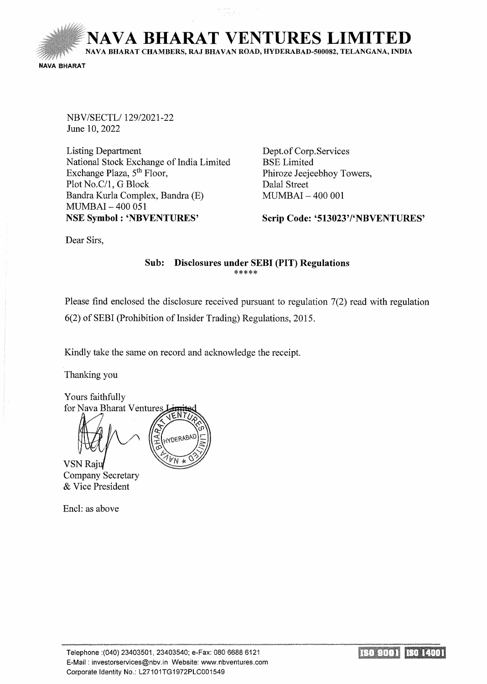NAVA BHARAT VENTURES LIMITED

NA VA BHARA T CHAMBERS, RAJ BHAVAN ROAD, HYDERABAD-500082, TELANGANA, INDIA

NAVA BHARAT

NBV/SECTL/129/2021-22 June 10,2022

Listing Department National Stock Exchange of India Limited Exchange Plaza, 5<sup>th</sup> Floor, Plot No.C/1, G Block Bandra Kurla Complex, Bandra (E) MUMBAI- 400 051 NSE Symbol : 'NBVENTURES'

Dept. of Corp.Services BSE Limited Phiroze Jeejeebhoy Towers, Dalal Street MUMBAI- 400 001

Scrip Code: '513023'/'NBVENTURES'

Dear Sirs,

## Sub: Disclosures under SEBI (PIT) Regulations \*\*\*\*\*

Please find enclosed the disclosure received pursuant to regulation 7(2) read with regulation 6(2) of SEBI (Prohibition of Insider Trading) Regulations, 2015.

Kindly take the same on record and acknowledge the receipt.

Thanking you

Yours faithfully for Nava Bharat Ventures HYDERABI

**VSN Raju** Company Secretary & Vice President

Encl: as above

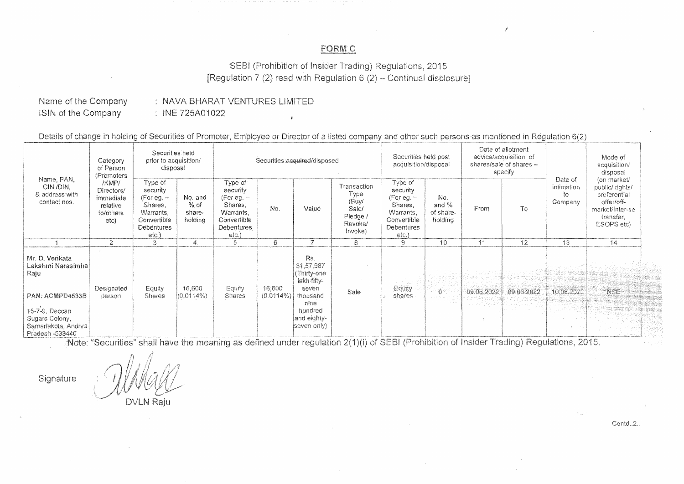## FORM C

/

SEBI (Prohibition of Insider Trading) Regulations, 2015 [Regulation 7 (2) read with Regulation 6 (2) – Continual disclosure]

## Name of the Company !SlN of the Company

NAVA BHARAT VENTURES LIMITED : INE 725A01022

Details of change in holding of Securities of Promoter, Employee or Director of a listed

|                                                                                                                                               | Category<br>of Person<br>(Promoters<br>/KMP/<br>Directors/<br>immediate<br>relative<br>fo/others<br>etc) | Securities held<br>prior to acquisition/<br>disposal                                                      |                                      | Securities acquired/disposed                                                                            |                     |                                                                                                                      |                                                                         | Securities held post<br>acquisition/disposal                                                     |                                        | Date of allotment<br>advice/acquisition of<br>shares/sale of shares-<br>specify |            |                                                | Mode of<br>acquisition/<br>disposal                                                                       |
|-----------------------------------------------------------------------------------------------------------------------------------------------|----------------------------------------------------------------------------------------------------------|-----------------------------------------------------------------------------------------------------------|--------------------------------------|---------------------------------------------------------------------------------------------------------|---------------------|----------------------------------------------------------------------------------------------------------------------|-------------------------------------------------------------------------|--------------------------------------------------------------------------------------------------|----------------------------------------|---------------------------------------------------------------------------------|------------|------------------------------------------------|-----------------------------------------------------------------------------------------------------------|
| Name, PAN,<br>CIN /DIN.<br>& address with<br>contact nos.                                                                                     |                                                                                                          | Type of:<br>security<br>(For eg. $-$<br>Shares,<br>Warrants,<br>Convertible<br><b>Debentures</b><br>etc.) | No. and<br>% of<br>share-<br>holding | Type of<br>security<br>(For eg. $-$<br>Shares,<br>Warrants,<br>Convertible<br><b>Debentures</b><br>etc. | No.                 | Value                                                                                                                | Transaction<br>Type<br>(Buy/<br>Sale/<br>Pledge /<br>Revoke/<br>Invoke) | Type of<br>security<br>(For eg. $-$<br>Shares.<br>Warrants,<br>Convertible<br>Debentures<br>etc. | No.<br>and $%$<br>of share-<br>holding | From                                                                            | To         | Date of<br><b>intimation</b><br>to.<br>Company | (on market/<br>public/rights/<br>preferential<br>offer/off-<br>market/Inter-se<br>transfer.<br>ESOPS etc) |
|                                                                                                                                               | 2                                                                                                        | З                                                                                                         |                                      | 5                                                                                                       | 6                   |                                                                                                                      | 8                                                                       | 9                                                                                                | 10                                     | -11                                                                             | 12         | -13                                            | 14                                                                                                        |
| Mr. D. Venkata<br>Lakshmi Narasimhal<br>Raju<br>PAN: ACMPD4533B<br>15-7-9, Deccan<br>Sugars Colony,<br>Samarlakota, Andhra<br>Pradesh -533440 | Designated<br>person                                                                                     | Equity<br><b>Shares</b>                                                                                   | 16,600<br>$(0.0114\%)$               | Equity<br><b>Shares</b>                                                                                 | 16:600<br>(0.0114%) | Rs.<br>31,57,987<br>(Thirty-one<br>lakh fifty-<br>seven<br>thousand<br>nine<br>hundred<br>and eighty-<br>seven only) | Sale                                                                    | a france<br>Equity<br>shares                                                                     | - 1801<br>List Car                     | 09.06.2022<br>u zaretegori                                                      | 09.06.2022 | 10.06.2022                                     | NSE                                                                                                       |

Note: "Securities" shall have the meaning as defined under regulation 2(1)(i) of SEBI (Prohibition of Insider Trading) Regulations, 2015.

Signature

**DVLN Rajt** 

 $Contd.2.$